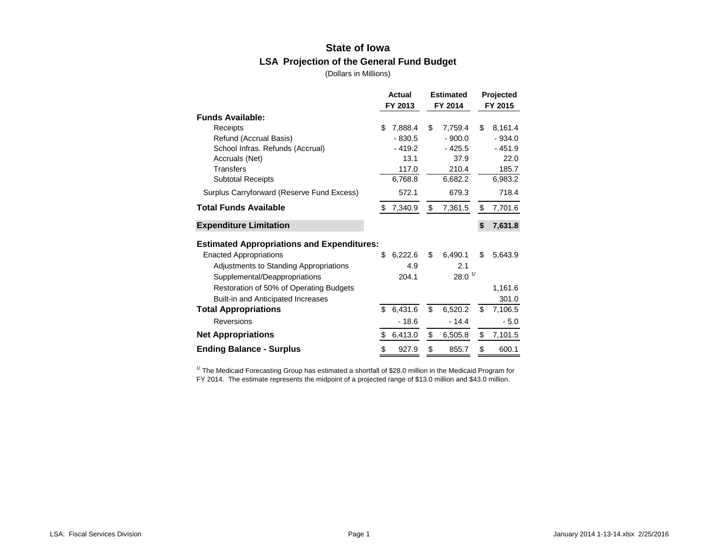# **State of Iowa LSA Projection of the General Fund Budget**

(Dollars in Millions)

|                                                   | Actual |          | <b>Estimated</b>                  | Projected |          |  |
|---------------------------------------------------|--------|----------|-----------------------------------|-----------|----------|--|
|                                                   |        | FY 2013  | FY 2014                           |           | FY 2015  |  |
| <b>Funds Available:</b>                           |        |          |                                   |           |          |  |
| Receipts                                          | \$.    | 7.888.4  | \$<br>7.759.4                     | \$        | 8,161.4  |  |
| Refund (Accrual Basis)                            |        | $-830.5$ | $-900.0$                          |           | $-934.0$ |  |
| School Infras. Refunds (Accrual)                  |        | $-419.2$ | - 425.5                           |           | - 451.9  |  |
| Accruals (Net)                                    |        | 13.1     | 37.9                              |           | 22.0     |  |
| <b>Transfers</b>                                  |        | 117.0    | 210.4                             |           | 185.7    |  |
| <b>Subtotal Receipts</b>                          |        | 6,768.8  | 6,682.2                           |           | 6,983.2  |  |
| Surplus Carryforward (Reserve Fund Excess)        |        | 572.1    | 679.3                             |           | 718.4    |  |
| <b>Total Funds Available</b>                      | \$     | 7,340.9  | \$<br>7,361.5                     | \$        | 7,701.6  |  |
| <b>Expenditure Limitation</b>                     |        |          |                                   | \$        | 7,631.8  |  |
| <b>Estimated Appropriations and Expenditures:</b> |        |          |                                   |           |          |  |
| <b>Enacted Appropriations</b>                     | \$     | 6,222.6  | \$<br>6,490.1                     | \$        | 5,643.9  |  |
| Adjustments to Standing Appropriations            |        | 4.9      | 2.1                               |           |          |  |
| Supplemental/Deappropriations                     |        | 204.1    | $28.0$ <sup><math>1/</math></sup> |           |          |  |
| Restoration of 50% of Operating Budgets           |        |          |                                   |           | 1,161.6  |  |
| <b>Built-in and Anticipated Increases</b>         |        |          |                                   |           | 301.0    |  |
| <b>Total Appropriations</b>                       | \$     | 6,431.6  | \$<br>6,520.2                     | \$        | 7,106.5  |  |
| Reversions                                        |        | $-18.6$  | $-14.4$                           |           | $-5.0$   |  |
| <b>Net Appropriations</b>                         |        | 6,413.0  | \$<br>6,505.8                     | \$        | 7,101.5  |  |
| <b>Ending Balance - Surplus</b>                   | \$     | 927.9    | \$<br>855.7                       | \$        | 600.1    |  |

 $1/$  The Medicaid Forecasting Group has estimated a shortfall of \$28.0 million in the Medicaid Program for FY 2014. The estimate represents the midpoint of a projected range of \$13.0 million and \$43.0 million.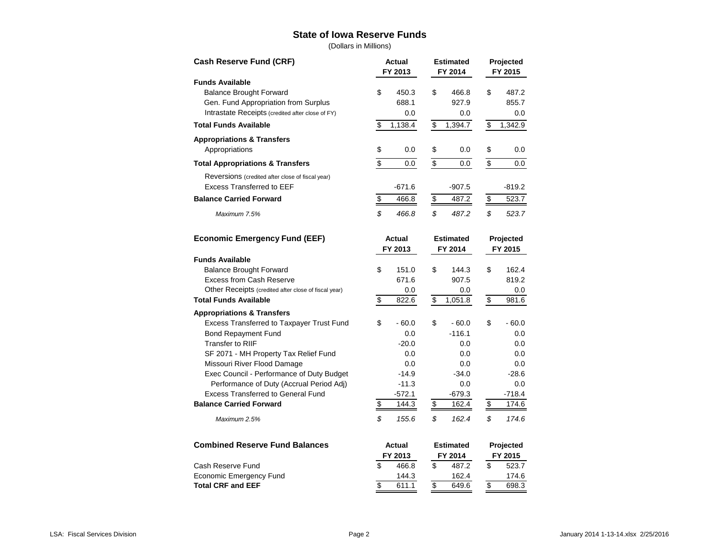#### **State of Iowa Reserve Funds**

(Dollars in Millions)

| <b>Cash Reserve Fund (CRF)</b>                       | <b>Estimated</b><br>Actual<br>FY 2013<br>FY 2014 |                                   |                                     | Projected<br>FY 2015 |                          |           |  |         |
|------------------------------------------------------|--------------------------------------------------|-----------------------------------|-------------------------------------|----------------------|--------------------------|-----------|--|---------|
| <b>Funds Available</b>                               |                                                  |                                   |                                     |                      |                          |           |  |         |
| <b>Balance Brought Forward</b>                       | \$                                               | 450.3                             | \$                                  | 466.8                | \$                       | 487.2     |  |         |
| Gen. Fund Appropriation from Surplus                 |                                                  | 688.1                             |                                     | 927.9                |                          | 855.7     |  |         |
| Intrastate Receipts (credited after close of FY)     |                                                  | 0.0                               |                                     | 0.0                  |                          | 0.0       |  |         |
| <b>Total Funds Available</b>                         | \$                                               | 1,138.4                           | \$                                  | 1,394.7              | \$                       | 1,342.9   |  |         |
| <b>Appropriations &amp; Transfers</b>                |                                                  |                                   |                                     |                      |                          |           |  |         |
| Appropriations                                       | \$                                               | 0.0                               | \$                                  | 0.0                  | \$                       | 0.0       |  |         |
| <b>Total Appropriations &amp; Transfers</b>          | $\overline{\mathcal{E}}$                         | $0.0\,$                           | $\overline{\mathcal{E}}$            | 0.0                  | $\overline{\mathcal{E}}$ | 0.0       |  |         |
| Reversions (credited after close of fiscal year)     |                                                  |                                   |                                     |                      |                          |           |  |         |
| <b>Excess Transferred to EEF</b>                     |                                                  | $-671.6$                          |                                     | $-907.5$             |                          | $-819.2$  |  |         |
| <b>Balance Carried Forward</b>                       | $\boldsymbol{\mathsf{S}}$                        | $\frac{1}{2}$<br>466.8            |                                     | 487.2                | 523.7<br>$\frac{1}{2}$   |           |  |         |
| Maximum 7.5%                                         | \$                                               | 466.8                             | \$                                  | 487.2                | \$                       | 523.7     |  |         |
| <b>Economic Emergency Fund (EEF)</b>                 |                                                  | <b>Actual</b><br><b>Estimated</b> |                                     |                      | Projected                |           |  |         |
|                                                      | FY 2013                                          |                                   |                                     | FY 2014              |                          | FY 2015   |  |         |
| <b>Funds Available</b>                               |                                                  |                                   |                                     |                      |                          |           |  |         |
| <b>Balance Brought Forward</b>                       | \$                                               | 151.0                             | \$                                  | 144.3                | \$                       | 162.4     |  |         |
| <b>Excess from Cash Reserve</b>                      |                                                  | 671.6                             |                                     | 907.5                |                          | 819.2     |  |         |
| Other Receipts (credited after close of fiscal year) |                                                  | 0.0                               |                                     | 0.0                  |                          | 0.0       |  |         |
| <b>Total Funds Available</b>                         | $\overline{\mathcal{S}}$                         | 822.6                             | $\overline{\mathcal{S}}$<br>1,051.8 |                      | $\overline{\mathbf{S}}$  | 981.6     |  |         |
| <b>Appropriations &amp; Transfers</b>                |                                                  |                                   |                                     |                      |                          |           |  |         |
| Excess Transferred to Taxpayer Trust Fund            | \$                                               | $-60.0$                           | \$                                  | $-60.0$              | \$                       | $-60.0$   |  |         |
| Bond Repayment Fund                                  |                                                  | 0.0                               |                                     | $-116.1$             |                          | 0.0       |  |         |
| <b>Transfer to RIIF</b>                              |                                                  | $-20.0$                           |                                     | 0.0                  |                          | 0.0       |  |         |
| SF 2071 - MH Property Tax Relief Fund                |                                                  | 0.0                               |                                     | 0.0                  |                          | 0.0       |  |         |
| Missouri River Flood Damage                          |                                                  | 0.0                               |                                     | 0.0                  |                          | 0.0       |  |         |
| Exec Council - Performance of Duty Budget            |                                                  | $-14.9$                           |                                     | $-34.0$              |                          | $-28.6$   |  |         |
| Performance of Duty (Accrual Period Adj)             |                                                  | $-11.3$                           |                                     | 0.0                  |                          | 0.0       |  |         |
| <b>Excess Transferred to General Fund</b>            |                                                  | $-572.1$                          |                                     | $-679.3$             |                          | $-718.4$  |  |         |
| <b>Balance Carried Forward</b>                       | \$                                               | 144.3                             | $\overline{\mathcal{S}}$            | 162.4                | $\overline{\mathcal{E}}$ | 174.6     |  |         |
| Maximum 2.5%                                         | \$                                               | 155.6                             | \$                                  | 162.4                | \$                       | 174.6     |  |         |
| <b>Combined Reserve Fund Balances</b>                | Actual                                           |                                   |                                     | <b>Estimated</b>     |                          | Projected |  |         |
|                                                      |                                                  | FY 2013                           |                                     |                      |                          | FY 2014   |  | FY 2015 |
| Cash Reserve Fund                                    | \$                                               | 466.8                             | \$                                  | 487.2                | \$                       | 523.7     |  |         |
| <b>Economic Emergency Fund</b>                       |                                                  | 144.3                             |                                     | 162.4                |                          | 174.6     |  |         |
| <b>Total CRF and EEF</b>                             | $\overline{\$}$                                  | 611.1                             | $\overline{\$}$                     | 649.6                | $\overline{\$}$          | 698.3     |  |         |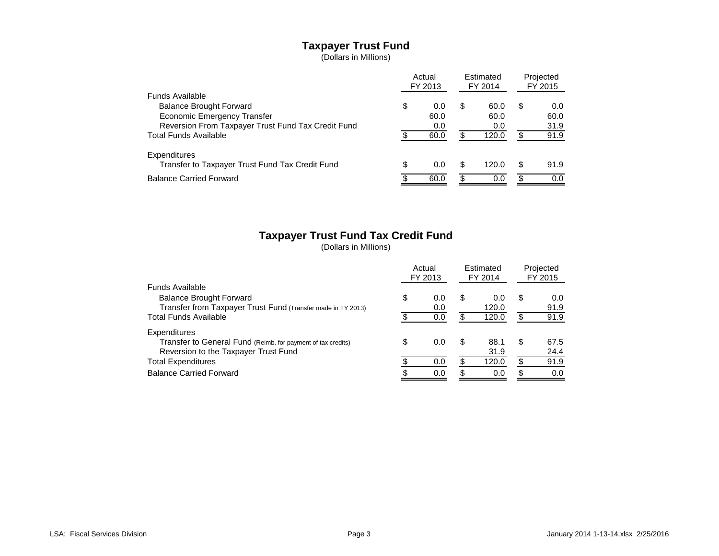# **Taxpayer Trust Fund**

(Dollars in Millions)

|                                                    | Actual<br>FY 2013 |      | Estimated<br>FY 2014 |       | Projected<br>FY 2015 |      |
|----------------------------------------------------|-------------------|------|----------------------|-------|----------------------|------|
| Funds Available                                    |                   |      |                      |       |                      |      |
| <b>Balance Brought Forward</b>                     | \$                | 0.0  | \$                   | 60.0  | S                    | 0.0  |
| Economic Emergency Transfer                        |                   | 60.0 |                      | 60.0  |                      | 60.0 |
| Reversion From Taxpayer Trust Fund Tax Credit Fund |                   | 0.0  |                      | 0.0   |                      | 31.9 |
| <b>Total Funds Available</b>                       |                   | 60.0 | \$                   | 120.0 |                      | 91.9 |
| Expenditures                                       |                   |      |                      |       |                      |      |
| Transfer to Taxpayer Trust Fund Tax Credit Fund    | \$                | 0.0  | \$                   | 120.0 | S                    | 91.9 |
| <b>Balance Carried Forward</b>                     |                   | 60.0 | R                    | 0.0   |                      | 0.0  |

# **Taxpayer Trust Fund Tax Credit Fund**

(Dollars in Millions)

|                                                              | Actual<br>FY 2013 |     | Estimated<br>FY 2014 |       | Projected<br>FY 2015 |      |
|--------------------------------------------------------------|-------------------|-----|----------------------|-------|----------------------|------|
| Funds Available                                              |                   |     |                      |       |                      |      |
| <b>Balance Brought Forward</b>                               | \$                | 0.0 | \$                   | 0.0   | S                    | 0.0  |
| Transfer from Taxpayer Trust Fund (Transfer made in TY 2013) |                   | 0.0 |                      | 120.0 |                      | 91.9 |
| <b>Total Funds Available</b>                                 |                   | 0.0 | £.                   | 120.0 |                      | 91.9 |
| Expenditures                                                 |                   |     |                      |       |                      |      |
| Transfer to General Fund (Reimb. for payment of tax credits) | \$                | 0.0 | \$                   | 88.1  | S                    | 67.5 |
| Reversion to the Taxpayer Trust Fund                         |                   |     |                      | 31.9  |                      | 24.4 |
| <b>Total Expenditures</b>                                    |                   | 0.0 | S                    | 120.0 |                      | 91.9 |
| <b>Balance Carried Forward</b>                               |                   | 0.0 | \$                   | 0.0   |                      | 0.0  |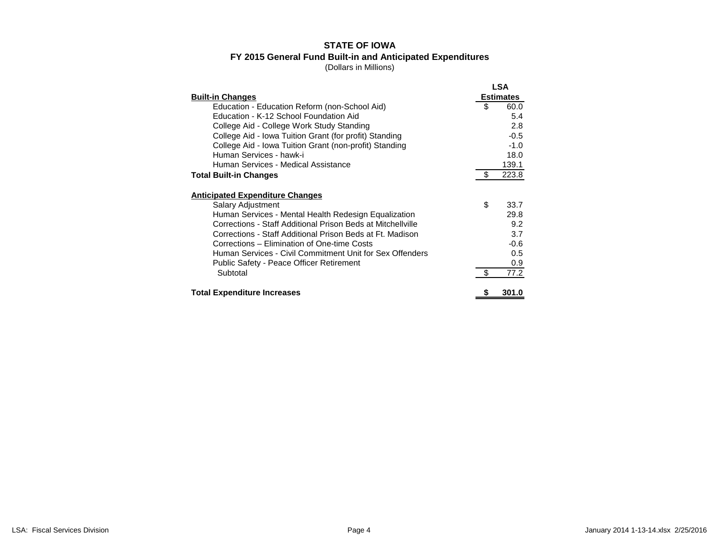# **STATE OF IOWA FY 2015 General Fund Built-in and Anticipated Expenditures**

(Dollars in Millions)

| <b>Built-in Changes</b>                                     |    | <b>LSA</b><br><b>Estimates</b> |
|-------------------------------------------------------------|----|--------------------------------|
| Education - Education Reform (non-School Aid)               | \$ | 60.0                           |
| Education - K-12 School Foundation Aid                      |    | 5.4                            |
| College Aid - College Work Study Standing                   |    | 2.8                            |
| College Aid - Iowa Tuition Grant (for profit) Standing      |    | $-0.5$                         |
| College Aid - Iowa Tuition Grant (non-profit) Standing      |    | $-1.0$                         |
| Human Services - hawk-i                                     |    | 18.0                           |
| Human Services - Medical Assistance                         |    | 139.1                          |
| <b>Total Built-in Changes</b>                               |    | 223.8                          |
| <b>Anticipated Expenditure Changes</b>                      |    |                                |
| Salary Adjustment                                           | \$ | 33.7                           |
| Human Services - Mental Health Redesign Equalization        |    | 29.8                           |
| Corrections - Staff Additional Prison Beds at Mitchellville |    | 9.2                            |
| Corrections - Staff Additional Prison Beds at Ft. Madison   |    | 3.7                            |
| Corrections – Elimination of One-time Costs                 |    | $-0.6$                         |
| Human Services - Civil Commitment Unit for Sex Offenders    |    | 0.5                            |
| <b>Public Safety - Peace Officer Retirement</b>             |    | 0.9                            |
| Subtotal                                                    | \$ | 77.2                           |
| <b>Total Expenditure Increases</b>                          | Ъ  | 301.0                          |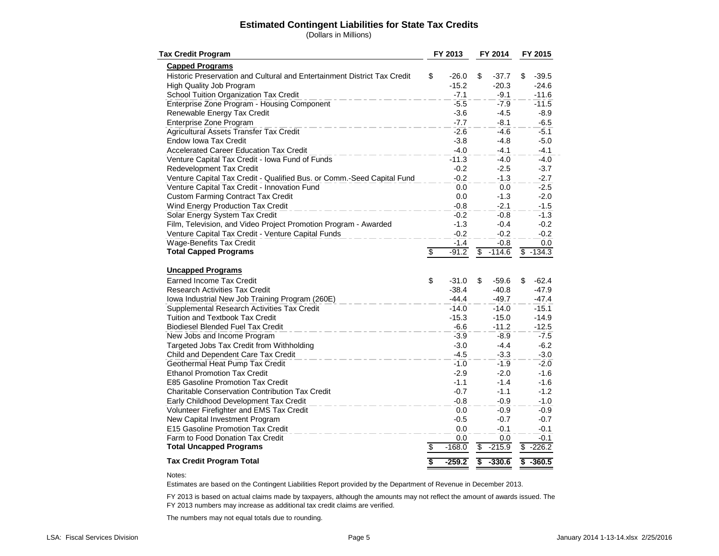#### **Estimated Contingent Liabilities for State Tax Credits**

(Dollars in Millions)

| <b>Tax Credit Program</b>                                                | FY 2013         |          | FY 2014 |          | FY 2015           |
|--------------------------------------------------------------------------|-----------------|----------|---------|----------|-------------------|
| <b>Capped Programs</b>                                                   |                 |          |         |          |                   |
| Historic Preservation and Cultural and Entertainment District Tax Credit | \$              | $-26.0$  | \$      | $-37.7$  | \$<br>$-39.5$     |
| High Quality Job Program                                                 |                 | $-15.2$  |         | $-20.3$  | $-24.6$           |
| School Tuition Organization Tax Credit                                   |                 | $-7.1$   |         | $-9.1$   | $-11.6$           |
| Enterprise Zone Program - Housing Component                              |                 | $-5.5$   |         | $-7.9$   | $-11.5$           |
| Renewable Energy Tax Credit                                              |                 | -3.6     |         | $-4.5$   | $-8.9$            |
| Enterprise Zone Program                                                  |                 | $-7.7$   |         | $-8.1$   | $-6.5$            |
| Agricultural Assets Transfer Tax Credit                                  |                 | $-2.6$   |         | $-4.6$   | $-5.1$            |
| <b>Endow Iowa Tax Credit</b>                                             |                 | $-3.8$   |         | $-4.8$   | $-5.0$            |
| <b>Accelerated Career Education Tax Credit</b>                           |                 | $-4.0$   |         | $-4.1$   | $-4.1$            |
| Venture Capital Tax Credit - Iowa Fund of Funds                          |                 | $-11.3$  |         | $-4.0$   | $-4.0$            |
| Redevelopment Tax Credit                                                 |                 | $-0.2$   |         | $-2.5$   | $-3.7$            |
| Venture Capital Tax Credit - Qualified Bus. or Comm.-Seed Capital Fund   |                 | $-0.2$   |         | $-1.3$   | $-2.7$            |
| Venture Capital Tax Credit - Innovation Fund                             |                 | 0.0      |         | 0.0      | $-2.5$            |
| <b>Custom Farming Contract Tax Credit</b>                                |                 | 0.0      |         | $-1.3$   | $-2.0$            |
| Wind Energy Production Tax Credit                                        |                 | $-0.8$   |         | $-2.1$   | $-1.5$            |
| Solar Energy System Tax Credit                                           |                 | $-0.2$   |         | $-0.8$   | $-1.3$            |
| Film, Television, and Video Project Promotion Program - Awarded          |                 | $-1.3$   |         | $-0.4$   | $-0.2$            |
| Venture Capital Tax Credit - Venture Capital Funds                       |                 | $-0.2$   |         | $-0.2$   | $-0.2$            |
| <b>Wage-Benefits Tax Credit</b>                                          |                 | $-1.4$   |         | $-0.8$   | 0.0               |
| <b>Total Capped Programs</b>                                             | $\overline{\$}$ | $-91.2$  | \$      | $-114.6$ | $\sqrt{3}$ -134.3 |
|                                                                          |                 |          |         |          |                   |
| <b>Uncapped Programs</b>                                                 |                 |          |         |          |                   |
| Earned Income Tax Credit                                                 | \$              | $-31.0$  | \$      | $-59.6$  | \$<br>$-62.4$     |
| <b>Research Activities Tax Credit</b>                                    |                 | $-38.4$  |         | $-40.8$  | $-47.9$           |
| Iowa Industrial New Job Training Program (260E)                          |                 | $-44.4$  |         | $-49.7$  | $-47.4$           |
| Supplemental Research Activities Tax Credit                              |                 | $-14.0$  |         | $-14.0$  | $-15.1$           |
| Tuition and Textbook Tax Credit                                          |                 | $-15.3$  |         | $-15.0$  | $-14.9$           |
| <b>Biodiesel Blended Fuel Tax Credit</b>                                 |                 | $-6.6$   |         | $-11.2$  | $-12.5$           |
| New Jobs and Income Program                                              |                 | $-3.9$   |         | $-8.9$   | $-7.5$            |
| Targeted Jobs Tax Credit from Withholding                                |                 | $-3.0$   |         | $-4.4$   | $-6.2$            |
| Child and Dependent Care Tax Credit                                      |                 | $-4.5$   |         | $-3.3$   | $-3.0$            |
| Geothermal Heat Pump Tax Credit                                          |                 | $-1.0$   |         | $-1.9$   | $-2.0$            |
| <b>Ethanol Promotion Tax Credit</b>                                      |                 | $-2.9$   |         | $-2.0$   | $-1.6$            |
| E85 Gasoline Promotion Tax Credit                                        |                 | $-1.1$   |         | $-1.4$   | $-1.6$            |
| Charitable Conservation Contribution Tax Credit                          |                 | $-0.7$   |         | $-1.1$   | $-1.2$            |
| Early Childhood Development Tax Credit                                   |                 | $-0.8$   |         | $-0.9$   | $-1.0$            |
| Volunteer Firefighter and EMS Tax Credit                                 |                 | 0.0      |         | $-0.9$   | $-0.9$            |
| New Capital Investment Program                                           |                 | $-0.5$   |         | $-0.7$   | $-0.7$            |
| E15 Gasoline Promotion Tax Credit                                        |                 | 0.0      |         | $-0.1$   | $-0.1$            |
| Farm to Food Donation Tax Credit                                         |                 | 0.0      |         | 0.0      | $-0.1$            |
| <b>Total Uncapped Programs</b>                                           | $\overline{\$}$ | $-168.0$ | \$      | $-215.9$ | $$ -226.2$        |
| <b>Tax Credit Program Total</b>                                          | \$              | $-259.2$ | \$      | $-330.6$ | $$ -360.5$        |

#### Notes:

Estimates are based on the Contingent Liabilities Report provided by the Department of Revenue in December 2013.

FY 2013 is based on actual claims made by taxpayers, although the amounts may not reflect the amount of awards issued. The FY 2013 numbers may increase as additional tax credit claims are verified.

The numbers may not equal totals due to rounding.